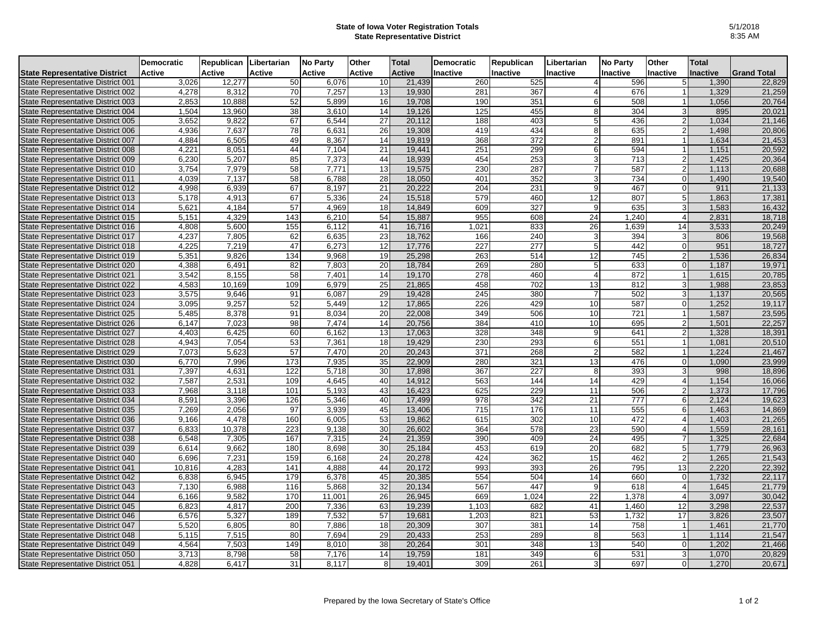## **State of Iowa Voter Registration Totals State Representative District**

|                                      | <b>Democratic</b> | Republican Libertarian |               | <b>No Party</b> | Other  | Total         | <b>Democratic</b> | Republican | Libertarian     | <b>No Party</b> | Other           | <b>Total</b> |                    |
|--------------------------------------|-------------------|------------------------|---------------|-----------------|--------|---------------|-------------------|------------|-----------------|-----------------|-----------------|--------------|--------------------|
| <b>State Representative District</b> | <b>Active</b>     | Active                 | <b>Active</b> | <b>Active</b>   | Active | <b>Active</b> | Inactive          | Inactive   | Inactive        | Inactive        | Inactive        | Inactive     | <b>Grand Total</b> |
| State Representative District 001    | 3,026             | 12,277                 | 50            | 6,076           | 10     | 21,439        | 260               | 525        | 4               | 596             | 5               | 1,390        | 22,829             |
| State Representative District 002    | 4,278             | 8,312                  | 70            | 7,257           | 13     | 19,930        | 281               | 367        | $\overline{4}$  | 676             |                 | 1,329        | 21,259             |
| State Representative District 003    | 2.853             | 10,888                 | 52            | 5.899           | 16     | 19,708        | 190               | 351        | $6 \mid$        | 508             |                 | 1,056        | 20,764             |
| State Representative District 004    | 1,504             | 13,960                 | 38            | 3,610           | 14     | 19,126        | 125               | 455        | 8               | 304             | 3               | 895          | 20,021             |
| State Representative District 005    | 3,652             | 9,822                  | 67            | 6,544           | 27     | 20,112        | 188               | 403        | 5 <sup>1</sup>  | 436             | $\overline{2}$  | 1,034        | 21,146             |
| State Representative District 006    | 4,936             | 7,637                  | 78            | 6,631           | 26     | 19,308        | 419               | 434        | 8 <sup>1</sup>  | 635             | $\overline{2}$  | 1,498        | 20,806             |
| State Representative District 007    | 4,884             | 6,505                  | 49            | 8,367           | 14     | 19,819        | 368               | 372        | $\overline{2}$  | 891             |                 | 1,634        | 21,453             |
| State Representative District 008    | 4,221             | 8,051                  | 44            | 7,104           | 21     | 19,441        | 251               | 299        | 6               | 594             |                 | 1,151        | 20,592             |
| State Representative District 009    | 6,230             | 5,207                  | 85            | 7,373           | 44     | 18,939        | 454               | 253        | 3               | 713             | 2 <sub>l</sub>  | 1,425        | 20,364             |
| State Representative District 010    | 3,754             | 7,979                  | 58            | 7,771           | 13     | 19,575        | 230               | 287        | 7               | 587             | $\overline{2}$  | 1,113        | 20,688             |
| State Representative District 011    | 4,039             | 7,137                  | 58            | 6,788           | 28     | 18,050        | 401               | 352        | 3 <sup>1</sup>  | 734             | $\Omega$        | 1,490        | 19,540             |
| State Representative District 012    | 4,998             | 6,939                  | 67            | 8,197           | 21     | 20,222        | 204               | 231        | 9 <sup>1</sup>  | 467             | $\overline{0}$  | 911          | 21,133             |
| State Representative District 013    | 5,178             | 4,913                  | 67            | 5,336           | 24     | 15,518        | 579               | 460        | 12              | 807             | 5 <sub>l</sub>  | 1,863        | 17,381             |
| State Representative District 014    | 5,621             | 4,184                  | 57            | 4,969           | 18     | 14,849        | 609               | 327        | 9               | 635             | 3               | 1,583        | 16,432             |
| State Representative District 015    | 5,151             | 4,329                  | 143           | 6,210           | 54     | 15,887        | 955               | 608        | $\overline{24}$ | 1.240           |                 | 2,831        | 18,718             |
| State Representative District 016    | 4,808             | 5,600                  | 155           | 6,112           | 41     | 16,716        | 1,021             | 833        | 26              | 1,639           | 14              | 3,533        | 20,249             |
| State Representative District 017    | 4,237             | 7,805                  | 62            | 6.635           | 23     | 18,762        | 166               | 240        | 3               | 394             | 3               | 806          | 19,568             |
| State Representative District 018    | 4,225             | 7,219                  | 47            | 6,273           | 12     | 17,776        | 227               | 277        | 5 <sup>1</sup>  | 442             | $\Omega$        | 951          | 18,727             |
| State Representative District 019    | 5,351             | 9,826                  | 134           | 9,968           | 19     | 25,298        | 263               | 514        | 12              | 745             | $\overline{2}$  | 1,536        | 26,834             |
| State Representative District 020    | 4,388             | 6,491                  | 82            | 7,803           | 20     | 18,784        | 269               | 280        | 5               | 633             | 0               | 1,187        | 19,971             |
| State Representative District 021    | 3.542             | 8.155                  | 58            | 7.401           | 14     | 19.170        | 278               | 460        | 4               | 872             |                 | 1.615        | 20,785             |
| State Representative District 022    | 4,583             | 10,169                 | 109           | 6,979           | 25     | 21,865        | 458               | 702        | 13              | 812             | 3l              | 1,988        | 23,853             |
| State Representative District 023    | 3,575             | 9.646                  | 91            | 6.087           | 29     | 19,428        | 245               | 380        | $\overline{7}$  | 502             | $\overline{3}$  | 1,137        | 20,565             |
| State Representative District 024    | 3,095             | 9,257                  | 52            | 5,449           | 12     | 17,865        | 226               | 429        | 10              | 587             | $\overline{0}$  | 1,252        | 19,117             |
| State Representative District 025    | 5,485             | 8,378                  | 91            | 8.034           | 20     | 22,008        | 349               | 506        | 10              | 721             |                 | 1,587        | 23,595             |
| State Representative District 026    | 6,147             | 7,023                  | 98            | 7,474           | 14     | 20,756        | 384               | 410        | 10              | 695             | $\overline{2}$  | 1,501        | 22,257             |
| State Representative District 027    | 4,403             | 6,425                  | 60            | 6.162           | 13     | 17,063        | 328               | 348        | 9               | 641             | $\overline{2}$  | 1,328        | 18,391             |
| State Representative District 028    | 4,943             | 7,054                  | 53            | 7,361           | 18     | 19,429        | 230               | 293        | 6               | 551             |                 | 1,081        | 20,510             |
| State Representative District 029    | 7,073             | 5,623                  | 57            | 7,470           | 20     | 20,243        | 371               | 268        | $\overline{2}$  | 582             |                 | 1,224        | 21,467             |
| State Representative District 030    | 6,770             | 7,996                  | 173           | 7,935           | 35     | 22,909        | 280               | 321        | 13              | 476             | 0               | 1,090        | 23,999             |
| State Representative District 031    | 7,397             | 4,631                  | 122           | 5,718           | 30     | 17,898        | 367               | 227        | 8               | 393             | 3               | 998          | 18,896             |
| State Representative District 032    | 7,587             | 2,531                  | 109           | 4,645           | 40     | 14,912        | 563               | 144        | 14              | 429             | 4               | 1,154        | 16,066             |
| State Representative District 033    | 7,968             | 3.118                  | 101           | 5.193           | 43     | 16.423        | 625               | 229        | 11              | 506             | $\overline{2}$  | 1,373        | 17,796             |
| State Representative District 034    | 8,591             | 3,396                  | 126           | 5,346           | 40     | 17,499        | 978               | 342        | 21              | 777             | 6 <sup>1</sup>  | 2,124        | 19,623             |
| State Representative District 035    | 7,269             | 2,056                  | 97            | 3,939           | 45     | 13,406        | 715               | 176        | 11              | 555             | $6 \mid$        | 1,463        | 14,869             |
| State Representative District 036    | 9,166             | 4,478                  | 160           | 6,005           | 53     | 19,862        | 615               | 302        | 10              | 472             | $\overline{4}$  | 1,403        | 21,265             |
| State Representative District 037    | 6,833             | 10,378                 | 223           | 9,138           | 30     | 26,602        | 364               | 578        | 23              | 590             | $\overline{4}$  | 1,559        | 28,161             |
| State Representative District 038    | 6,548             | 7,305                  | 167           | 7,315           | 24     | 21,359        | 390               | 409        | 24              | 495             | $\overline{7}$  | 1,325        | 22,684             |
| State Representative District 039    | 6,614             | 9,662                  | 180           | 8,698           | 30     | 25,184        | 453               | 619        | 20              | 682             | 5 <sup>1</sup>  | 1,779        | 26,963             |
| State Representative District 040    | 6,696             | 7,231                  | 159           | 6,168           | 24     | 20,278        | 424               | 362        | 15              | 462             | $\overline{2}$  | 1,265        | 21,543             |
| State Representative District 041    | 10,816            | 4,283                  | 141           | 4,888           | 44     | 20,172        | 993               | 393        | 26              | 795             | 13              | 2,220        | 22,392             |
| State Representative District 042    | 6,838             | 6,945                  | 179           | 6,378           | 45     | 20,385        | 554               | 504        | 14              | 660             | $\overline{0}$  | 1,732        | 22,117             |
| State Representative District 043    | 7,130             | 6,988                  | 116           | 5,868           | 32     | 20,134        | 567               | 447        | 9               | 618             | 4               | 1,645        | 21,779             |
| State Representative District 044    | 6,166             | 9,582                  | 170           | 11,001          | 26     | 26,945        | 669               | 1,024      | 22              | 1,378           | 4 <sup>1</sup>  | 3,097        | 30,042             |
| State Representative District 045    | 6,823             | 4,817                  | 200           | 7,336           | 63     | 19,239        | 1,103             | 682        | 41              | 1,460           | 12              | 3,298        | 22,537             |
| State Representative District 046    | 6,576             | 5,327                  | 189           | 7,532           | 57     | 19,681        | 1,203             | 821        | 53              | 1,732           | $\overline{17}$ | 3,826        | 23,507             |
| State Representative District 047    | 5,520             | 6,805                  | 80            | 7,886           | 18     | 20,309        | 307               | 381        | 14              | 758             |                 | 1,461        | 21,770             |
| State Representative District 048    | 5,115             | 7,515                  | 80            | 7,694           | 29     | 20,433        | 253               | 289        | 8               | 563             |                 | 1,114        | 21,547             |
| State Representative District 049    | 4,564             | 7,503                  | 149           | 8,010           | 38     | 20,264        | 301               | 348        | 13              | 540             | $\Omega$        | 1,202        | 21,466             |
| State Representative District 050    | 3,713             | 8,798                  | 58            | 7,176           | 14     | 19,759        | 181               | 349        | 6               | 531             | 3l              | 1,070        | 20,829             |
| State Representative District 051    | 4,828             | 6,417                  | 31            | 8,117           | 8      | 19,401        | 309               | 261        | 3               | 697             | οI              | 1,270        | 20,671             |
|                                      |                   |                        |               |                 |        |               |                   |            |                 |                 |                 |              |                    |